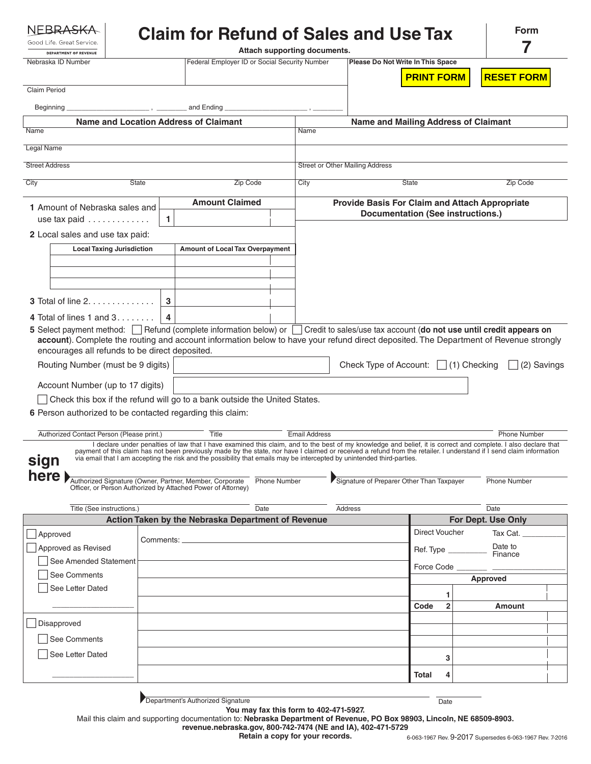| <b>DEPARTMENT OF REVENUE</b>                                                                                                                                                            |              |          |                                                                                                                                                                                                                                                                                                | Attach supporting documents.                          |                                        |                                             | 7                                 |  |
|-----------------------------------------------------------------------------------------------------------------------------------------------------------------------------------------|--------------|----------|------------------------------------------------------------------------------------------------------------------------------------------------------------------------------------------------------------------------------------------------------------------------------------------------|-------------------------------------------------------|----------------------------------------|---------------------------------------------|-----------------------------------|--|
| Nebraska ID Number                                                                                                                                                                      |              |          | Federal Employer ID or Social Security Number                                                                                                                                                                                                                                                  |                                                       |                                        | Please Do Not Write In This Space           |                                   |  |
|                                                                                                                                                                                         |              |          |                                                                                                                                                                                                                                                                                                |                                                       |                                        | <b>PRINT FORM</b>                           | <b>RESET FORM</b>                 |  |
| <b>Claim Period</b>                                                                                                                                                                     |              |          |                                                                                                                                                                                                                                                                                                |                                                       |                                        |                                             |                                   |  |
| and Ending<br>Beginning                                                                                                                                                                 |              |          |                                                                                                                                                                                                                                                                                                |                                                       |                                        |                                             |                                   |  |
| <b>Name and Location Address of Claimant</b>                                                                                                                                            |              |          |                                                                                                                                                                                                                                                                                                |                                                       |                                        | <b>Name and Mailing Address of Claimant</b> |                                   |  |
| Name                                                                                                                                                                                    |              |          |                                                                                                                                                                                                                                                                                                | Name                                                  |                                        |                                             |                                   |  |
| Legal Name                                                                                                                                                                              |              |          |                                                                                                                                                                                                                                                                                                |                                                       |                                        |                                             |                                   |  |
| <b>Street Address</b>                                                                                                                                                                   |              |          |                                                                                                                                                                                                                                                                                                |                                                       | <b>Street or Other Mailing Address</b> |                                             |                                   |  |
|                                                                                                                                                                                         | <b>State</b> |          |                                                                                                                                                                                                                                                                                                |                                                       |                                        |                                             |                                   |  |
| City                                                                                                                                                                                    |              | Zip Code | City                                                                                                                                                                                                                                                                                           |                                                       | <b>State</b>                           | Zip Code                                    |                                   |  |
| 1 Amount of Nebraska sales and                                                                                                                                                          |              |          | <b>Amount Claimed</b>                                                                                                                                                                                                                                                                          | <b>Provide Basis For Claim and Attach Appropriate</b> |                                        |                                             |                                   |  |
| use tax paid                                                                                                                                                                            |              | 1.       |                                                                                                                                                                                                                                                                                                |                                                       |                                        | <b>Documentation (See instructions.)</b>    |                                   |  |
| 2 Local sales and use tax paid:                                                                                                                                                         |              |          |                                                                                                                                                                                                                                                                                                |                                                       |                                        |                                             |                                   |  |
| <b>Local Taxing Jurisdiction</b>                                                                                                                                                        |              |          | Amount of Local Tax Overpayment                                                                                                                                                                                                                                                                |                                                       |                                        |                                             |                                   |  |
|                                                                                                                                                                                         |              |          |                                                                                                                                                                                                                                                                                                |                                                       |                                        |                                             |                                   |  |
|                                                                                                                                                                                         |              |          |                                                                                                                                                                                                                                                                                                |                                                       |                                        |                                             |                                   |  |
|                                                                                                                                                                                         |              |          |                                                                                                                                                                                                                                                                                                |                                                       |                                        |                                             |                                   |  |
| <b>3</b> Total of line $2, \ldots, \ldots, \ldots$                                                                                                                                      |              | 3        |                                                                                                                                                                                                                                                                                                |                                                       |                                        |                                             |                                   |  |
| 4 Total of lines 1 and $3 \ldots \ldots$                                                                                                                                                |              | 4        |                                                                                                                                                                                                                                                                                                |                                                       |                                        |                                             |                                   |  |
| 5 Select payment method: Refund (complete information below) or Credit to sales/use tax account (do not use until credit appears on                                                     |              |          |                                                                                                                                                                                                                                                                                                |                                                       |                                        |                                             |                                   |  |
| account). Complete the routing and account information below to have your refund direct deposited. The Department of Revenue strongly<br>encourages all refunds to be direct deposited. |              |          |                                                                                                                                                                                                                                                                                                |                                                       |                                        |                                             |                                   |  |
| Routing Number (must be 9 digits)                                                                                                                                                       |              |          |                                                                                                                                                                                                                                                                                                |                                                       |                                        |                                             |                                   |  |
|                                                                                                                                                                                         |              |          |                                                                                                                                                                                                                                                                                                |                                                       |                                        |                                             |                                   |  |
|                                                                                                                                                                                         |              |          |                                                                                                                                                                                                                                                                                                |                                                       |                                        | Check Type of Account: $\Box$ (1) Checking  |                                   |  |
| Account Number (up to 17 digits)                                                                                                                                                        |              |          |                                                                                                                                                                                                                                                                                                |                                                       |                                        |                                             |                                   |  |
|                                                                                                                                                                                         |              |          | Check this box if the refund will go to a bank outside the United States.                                                                                                                                                                                                                      |                                                       |                                        |                                             |                                   |  |
|                                                                                                                                                                                         |              |          |                                                                                                                                                                                                                                                                                                |                                                       |                                        |                                             |                                   |  |
| Authorized Contact Person (Please print.)                                                                                                                                               |              |          | Title                                                                                                                                                                                                                                                                                          | <b>Email Address</b>                                  |                                        |                                             | <b>Phone Number</b>               |  |
|                                                                                                                                                                                         |              |          | I declare under penalties of law that I have examined this claim, and to the best of my knowledge and belief, it is correct and complete. I also declare that                                                                                                                                  |                                                       |                                        |                                             |                                   |  |
|                                                                                                                                                                                         |              |          | payment of this claim has not been previously made by the state, nor have I claimed or received a refund from the retailer. I understand if I send claim information<br>via email that I am accepting the risk and the possibility that emails may be intercepted by unintended third-parties. |                                                       |                                        |                                             |                                   |  |
|                                                                                                                                                                                         |              |          |                                                                                                                                                                                                                                                                                                |                                                       |                                        |                                             |                                   |  |
| Authorized Signature (Owner, Partner, Member, Corporate<br>Officer, or Person Authorized by Attached Power of Attorney)                                                                 |              |          | <b>Phone Number</b>                                                                                                                                                                                                                                                                            |                                                       |                                        | Signature of Preparer Other Than Taxpayer   | Phone Number                      |  |
|                                                                                                                                                                                         |              |          |                                                                                                                                                                                                                                                                                                |                                                       |                                        |                                             |                                   |  |
| Title (See instructions.)                                                                                                                                                               |              |          | Date<br>Action Taken by the Nebraska Department of Revenue                                                                                                                                                                                                                                     |                                                       | Address                                |                                             | Date<br><b>For Dept. Use Only</b> |  |
| Approved                                                                                                                                                                                |              |          |                                                                                                                                                                                                                                                                                                |                                                       |                                        | <b>Direct Voucher</b>                       | Tax Cat.                          |  |
| Approved as Revised                                                                                                                                                                     |              |          |                                                                                                                                                                                                                                                                                                |                                                       |                                        |                                             | Date to                           |  |
| See Amended Statement                                                                                                                                                                   |              |          |                                                                                                                                                                                                                                                                                                |                                                       |                                        | Ref. Type __                                | Finance                           |  |
| See Comments                                                                                                                                                                            |              |          |                                                                                                                                                                                                                                                                                                |                                                       |                                        | Force Code                                  |                                   |  |
| See Letter Dated                                                                                                                                                                        |              |          |                                                                                                                                                                                                                                                                                                |                                                       |                                        |                                             | Approved                          |  |
|                                                                                                                                                                                         |              |          |                                                                                                                                                                                                                                                                                                |                                                       |                                        | 1<br>$\overline{2}$<br>Code                 |                                   |  |
|                                                                                                                                                                                         |              |          |                                                                                                                                                                                                                                                                                                |                                                       |                                        |                                             | Amount                            |  |
| Disapproved                                                                                                                                                                             |              |          |                                                                                                                                                                                                                                                                                                |                                                       |                                        |                                             |                                   |  |
| See Comments                                                                                                                                                                            |              |          |                                                                                                                                                                                                                                                                                                |                                                       |                                        |                                             |                                   |  |
| 6 Person authorized to be contacted regarding this claim:<br>sign<br>here )<br>See Letter Dated                                                                                         |              |          |                                                                                                                                                                                                                                                                                                |                                                       |                                        | 3                                           | (2) Savings                       |  |
|                                                                                                                                                                                         |              |          |                                                                                                                                                                                                                                                                                                |                                                       |                                        | <b>Total</b><br>4                           |                                   |  |

**You may fax this form to 402-471-5927.**

Mail this claim and supporting documentation to: **Nebraska Department of Revenue, PO Box 98903, Lincoln, NE 68509-8903.**

**Retain a copy for your records.**

**revenue.nebraska.gov, 800-742-7474 (NE and IA), 402-471-5729**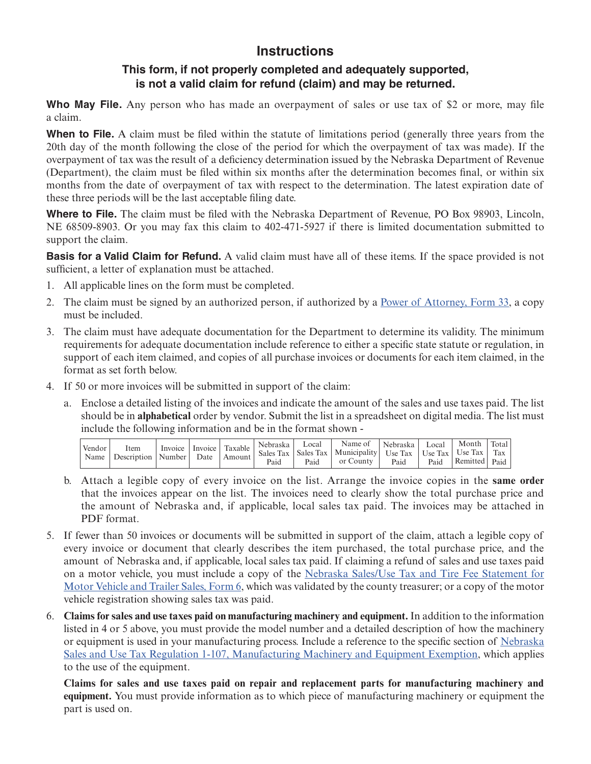## **Instructions**

## **This form, if not properly completed and adequately supported, is not a valid claim for refund (claim) and may be returned.**

**Who May File.** Any person who has made an overpayment of sales or use tax of \$2 or more, may file a claim.

**When to File.** A claim must be filed within the statute of limitations period (generally three years from the 20th day of the month following the close of the period for which the overpayment of tax was made). If the overpayment of tax was the result of a deficiency determination issued by the Nebraska Department of Revenue (Department), the claim must be filed within six months after the determination becomes final, or within six months from the date of overpayment of tax with respect to the determination. The latest expiration date of these three periods will be the last acceptable filing date.

**Where to File.** The claim must be filed with the Nebraska Department of Revenue, PO Box 98903, Lincoln, NE 68509-8903. Or you may fax this claim to 402-471-5927 if there is limited documentation submitted to support the claim.

**Basis for a Valid Claim for Refund.** A valid claim must have all of these items. If the space provided is not sufficient, a letter of explanation must be attached.

- 1. All applicable lines on the form must be completed.
- 2. The claim must be signed by an authorized person, if authorized by a [Power of Attorney, Form 33](http://www.revenue.nebraska.gov/tax/current/fill-in/f_33.pdf), a copy must be included.
- 3. The claim must have adequate documentation for the Department to determine its validity. The minimum requirements for adequate documentation include reference to either a specific state statute or regulation, in support of each item claimed, and copies of all purchase invoices or documents for each item claimed, in the format as set forth below.
- 4. If 50 or more invoices will be submitted in support of the claim:
	- a. Enclose a detailed listing of the invoices and indicate the amount of the sales and use taxes paid. The list should be in **alphabetical** order by vendor. Submit the list in a spreadsheet on digital media. The list must include the following information and be in the format shown -

| Vendor.<br>Name | Item<br>Description | Invoice<br>  Number | Invoice  <br>Date | Taxable<br>  Amount | Nebraska<br>Paid | Local<br>Paid | Name of<br>Sales Tax   Sales Tax   Municipality   Use Tax   Use Tax   Use Tax  <br>or County | Nebraska<br>Paid | Local<br>Paid | Month<br>Remitted   Paid | Total<br>Tax |
|-----------------|---------------------|---------------------|-------------------|---------------------|------------------|---------------|----------------------------------------------------------------------------------------------|------------------|---------------|--------------------------|--------------|
|-----------------|---------------------|---------------------|-------------------|---------------------|------------------|---------------|----------------------------------------------------------------------------------------------|------------------|---------------|--------------------------|--------------|

- b. Attach a legible copy of every invoice on the list. Arrange the invoice copies in the **same order** that the invoices appear on the list. The invoices need to clearly show the total purchase price and the amount of Nebraska and, if applicable, local sales tax paid. The invoices may be attached in PDF format.
- 5. If fewer than 50 invoices or documents will be submitted in support of the claim, attach a legible copy of every invoice or document that clearly describes the item purchased, the total purchase price, and the amount of Nebraska and, if applicable, local sales tax paid. If claiming a refund of sales and use taxes paid on a motor vehicle, you must include a copy of the [Nebraska Sales/Use Tax and Tire Fee Statement for](http://www.revenue.nebraska.gov/tax/current/fill-in/f_6.pdf)  [Motor Vehicle and Trailer Sales, Form 6,](http://www.revenue.nebraska.gov/tax/current/fill-in/f_6.pdf) which was validated by the county treasurer; or a copy of the motor vehicle registration showing sales tax was paid.
- 6. **Claims for sales and use taxes paid on manufacturing machinery and equipment.** In addition to the information listed in 4 or 5 above, you must provide the model number and a detailed description of how the machinery or equipment is used in your manufacturing process. Include a reference to the specific section of [Nebraska](http://www.revenue.nebraska.gov/legal/regs/slstaxregs.html#107) [Sales and Use Tax Regulation 1-107, Manufacturing Machinery and Equipment Exemption](http://www.revenue.nebraska.gov/legal/regs/slstaxregs.html#107), which applies to the use of the equipment.

**Claims for sales and use taxes paid on repair and replacement parts for manufacturing machinery and equipment.** You must provide information as to which piece of manufacturing machinery or equipment the part is used on.